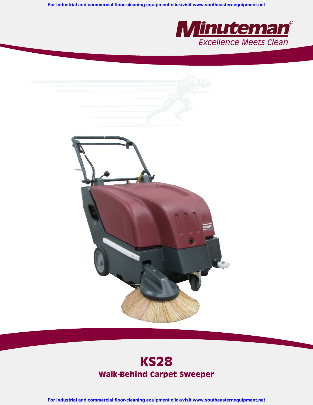**For industrial and commercial floor-cleaning equipment click/visit www.southeasternequipment.net**





# **KS28 Walk-Behind Carpet Sweeper**

**For industrial and commercial floor-cleaning equipment click/visit www.southeasternequipment.net**